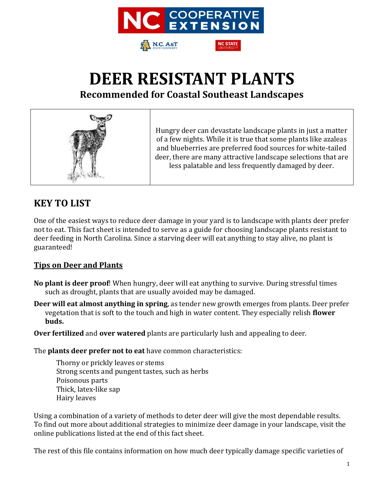



**Recommended for Coastal Southeast Landscapes**



### **KEY TO LIST**

One of the easiest ways to reduce deer damage in your yard is to landscape with plants deer prefer not to eat. This fact sheet is intended to serve as a guide for choosing landscape plants resistant to deer feeding in North Carolina. Since a starving deer will eat anything to stay alive, no plant is guaranteed!

#### **Tips on Deer and Plants**

- **No plant is deer proof**! When hungry, deer will eat anything to survive. During stressful times such as drought, plants that are usually avoided may be damaged.
- **Deer will eat almost anything in spring**, as tender new growth emerges from plants. Deer prefer vegetation that is soft to the touch and high in water content. They especially relish **flower buds.**

**Over fertilized** and **over watered** plants are particularly lush and appealing to deer.

The **plants deer prefer not to eat** have common characteristics:

Thorny or prickly leaves or stems Strong scents and pungent tastes, such as herbs Poisonous parts Thick, latex-like sap Hairy leaves

Using a combination of a variety of methods to deter deer will give the most dependable results. To find out more about additional strategies to minimize deer damage in your landscape, visit the online publications listed at the end of this fact sheet.

The rest of this file contains information on how much deer typically damage specific varieties of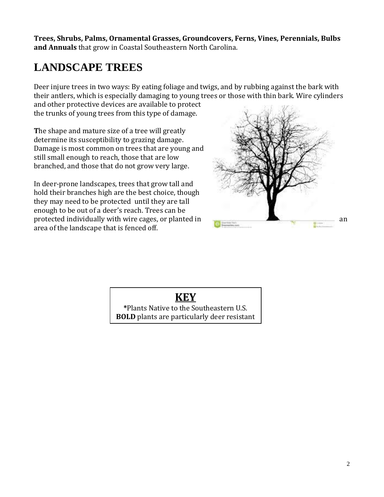**Trees, Shrubs, Palms, Ornamental Grasses, Groundcovers, Ferns, Vines, Perennials, Bulbs and Annuals** that grow in Coastal Southeastern North Carolina.

## **LANDSCAPE TREES**

Deer injure trees in two ways: By eating foliage and twigs, and by rubbing against the bark with their antlers, which is especially damaging to young trees or those with thin bark. Wire cylinders

and other protective devices are available to protect the trunks of young trees from this type of damage.

**T**he shape and mature size of a tree will greatly determine its susceptibility to grazing damage. Damage is most common on trees that are young and still small enough to reach, those that are low branched, and those that do not grow very large.

In deer-prone landscapes, trees that grow tall and hold their branches high are the best choice, though they may need to be protected until they are tall enough to be out of a deer's reach. Trees can be protected individually with wire cages, or planted in an analyzing  $\mathbb{R}$  and an analyzing  $\mathbb{R}$  and an analyzing  $\mathbb{R}$  and analyzing  $\mathbb{R}$  and analyzing  $\mathbb{R}$  and analyzing  $\mathbb{R}$  and analyzing  $\mathbb{R}$  an area of the landscape that is fenced off.





**\***Plants Native to the Southeastern U.S. **BOLD** plants are particularly deer resistant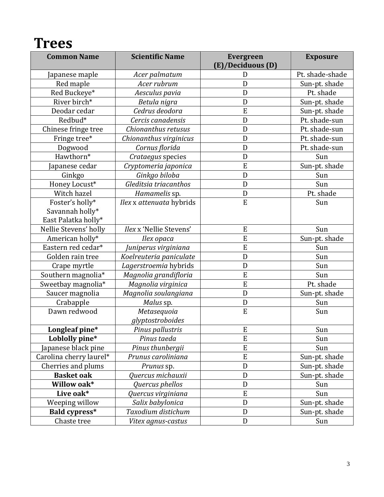## **Trees**

| <b>Common Name</b>      | <b>Scientific Name</b>          | <b>Evergreen</b><br>(E)/Deciduous (D) | <b>Exposure</b> |
|-------------------------|---------------------------------|---------------------------------------|-----------------|
| Japanese maple          | Acer palmatum                   | D                                     |                 |
| Red maple               | Acer rubrum                     | D                                     | Sun-pt. shade   |
| Red Buckeye*            | Aesculus pavia                  | D                                     | Pt. shade       |
| River birch*            | Betula nigra                    | $\mathbf D$                           | Sun-pt. shade   |
| Deodar cedar            | Cedrus deodora                  | E                                     | Sun-pt. shade   |
| Redbud*                 | Cercis canadensis               | $\overline{D}$                        | Pt. shade-sun   |
| Chinese fringe tree     | Chionanthus retusus             | D                                     | Pt. shade-sun   |
| Fringe tree*            | Chionanthus virginicus          | D                                     | Pt. shade-sun   |
| Dogwood                 | Cornus florida                  | D                                     | Pt. shade-sun   |
| Hawthorn*               | Crataegus species               | D                                     | Sun             |
| apanese cedar           | Cryptomeria japonica            | E                                     | Sun-pt. shade   |
| Ginkgo                  | Ginkgo biloba                   | $\mathbf D$                           | Sun             |
| Honey Locust*           | Gleditsia triacanthos           | $\mathbf D$                           | Sun             |
| Witch hazel             | Hamamelis sp.                   | D                                     | Pt. shade       |
| Foster's holly*         | Ilex x attenuata hybrids        | ${\bf E}$                             | Sun             |
| Savannah holly*         |                                 |                                       |                 |
| East Palatka holly*     |                                 |                                       |                 |
| Nellie Stevens' holly   | Ilex x 'Nellie Stevens'         | ${\bf E}$                             | Sun             |
| American holly*         | Ilex opaca                      | E                                     | Sun-pt. shade   |
| Eastern red cedar*      | Juniperus virginiana            | E                                     | Sun             |
| Golden rain tree        | Koelreuteria paniculate         | D                                     | Sun             |
| Crape myrtle            | Lagerstroemia hybrids           | $\mathbf D$                           | Sun             |
| Southern magnolia*      | Magnolia grandifloria           | E                                     | Sun             |
| Sweetbay magnolia*      | Magnolia virginica              | E                                     | Pt. shade       |
| Saucer magnolia         | Magnolia soulangiana            | D                                     | Sun-pt. shade   |
| Crabapple               | Malus sp.                       | D                                     | Sun             |
| Dawn redwood            | Metasequoia<br>glyptostroboides | ${\bf E}$                             | Sun             |
| Longleaf pine*          | Pinus pallustris                | E                                     | Sun             |
| Loblolly pine*          | Pinus taeda                     | E                                     | Sun             |
| Japanese black pine     | Pinus thunbergii                | E                                     | Sun             |
| Carolina cherry laurel* | Prunus caroliniana              | ${\bf E}$                             | Sun-pt. shade   |
| Cherries and plums      | Prunus sp.                      | D                                     | Sun-pt. shade   |
| <b>Basket</b> oak       | Quercus michauxii               | ${\bf D}$                             | Sun-pt. shade   |
| Willow oak*             | Quercus phellos                 | ${\bf D}$                             | Sun             |
| Live oak*               | Quercus virginiana              | E                                     | Sun             |
| Weeping willow          | Salix babylonica                | $\mathbf{D}$                          | Sun-pt. shade   |
| <b>Bald cypress*</b>    | Taxodium distichum              | $\mathbf{D}$                          | Sun-pt. shade   |
| Chaste tree             | Vitex agnus-castus              | ${\bf D}$                             | Sun             |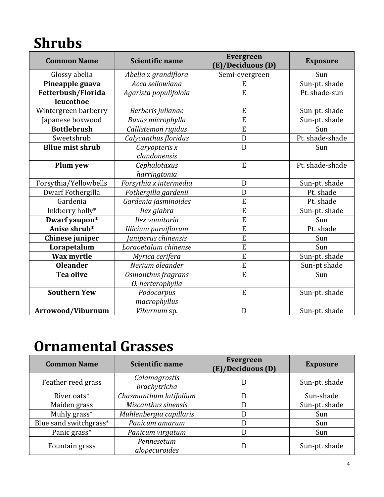# **Shrubs**

| <b>Common Name</b>      | <b>Scientific name</b> | <b>Evergreen</b><br>(E)/Deciduous (D) | <b>Exposure</b> |
|-------------------------|------------------------|---------------------------------------|-----------------|
| Glossy abelia           | Abelia x grandiflora   | Semi-evergreen                        | Sun             |
| Pineapple guava         | Acca sellowiana        | E                                     | Sun-pt. shade   |
| Fetterbush/Florida      | Agarista populifoloia  | E                                     | Pt. shade-sun   |
| leucothoe               |                        |                                       |                 |
| Wintergreen barberry    | Berberis julianae      | E                                     | Sun-pt. shade   |
| Japanese boxwood        | Buxus microphylla      | E                                     | Sun-pt. shade   |
| <b>Bottlebrush</b>      | Callistemon rigidus    | $\overline{E}$                        | Sun             |
| Sweetshrub              | Calycanthus floridus   | D                                     | Pt. shade-shade |
| <b>Bllue mist shrub</b> | Caryopteris x          | D                                     | Sun             |
|                         | clandonensis           |                                       |                 |
| Plum yew                | Cephalotaxus           | E                                     | Pt. shade-shade |
|                         | harringtonia           |                                       |                 |
| Forsythia/Yellowbells   | Forsythia x intermedia | D                                     | Sun-pt. shade   |
| Dwarf Fothergilla       | Fothergilla gardenii   | D                                     | Pt. shade       |
| Gardenia                | Gardenia jasminoides   | E                                     | Pt. shade       |
| Inkberry holly*         | Ilex glabra            | E                                     | Sun-pt. shade   |
| Dwarf yaupon*           | Ilex vomitoria         | E                                     | Sun             |
| Anise shrub*            | Illicium parviflorum   | E                                     | Pt. shade       |
| Chinese juniper         | Juniperus chinensis    | E                                     | Sun             |
| Lorapetalum             | Loraoetalum chinense   | $\overline{E}$                        | Sun             |
| Wax myrtle              | Myrica cerifera        | E                                     | Sun-pt. shade   |
| <b>Oleander</b>         | Nerium oleander        | E                                     | Sun-pt shade    |
| <b>Tea olive</b>        | Osmanthus fragrans     | E                                     | Sun             |
|                         | O. herterophylla       |                                       |                 |
| <b>Southern Yew</b>     | Podocarpus             | E                                     | Sun-pt. shade   |
|                         | macrophyllus           |                                       |                 |
| Arrowood/Viburnum       | Viburnum sp.           | D                                     | Sun-pt. shade   |

## **Ornamental Grasses**

| <b>Common Name</b>     | <b>Scientific name</b>        | <b>Evergreen</b><br>(E)/Deciduous (D) | <b>Exposure</b> |
|------------------------|-------------------------------|---------------------------------------|-----------------|
| Feather reed grass     | Calamagrostis<br>brachytricha |                                       | Sun-pt. shade   |
| River oats*            | Chasmanthum latifolium        |                                       | Sun-shade       |
| Maiden grass           | Miscanthus sinensis           |                                       | Sun-pt. shade   |
| Muhly grass*           | Muhlenbergia capillaris       |                                       | Sun             |
| Blue sand switchgrass* | Panicum amarum                |                                       | Sun             |
| Panic grass*           | Panicum virgatum              |                                       | Sun             |
| Fountain grass         | Pennesetum<br>alopecuroides   |                                       | Sun-pt. shade   |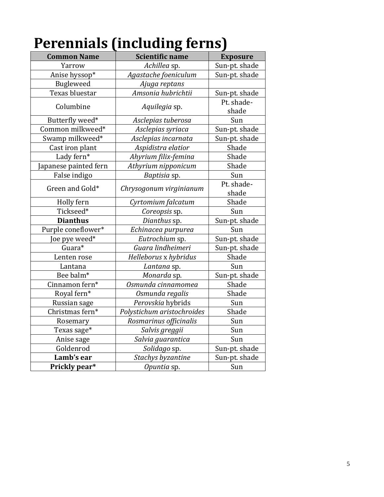|                       | u                          |                 |
|-----------------------|----------------------------|-----------------|
| <b>Common Name</b>    | <b>Scientific name</b>     | <b>Exposure</b> |
| Yarrow                | Achillea sp.               | Sun-pt. shade   |
| Anise hyssop*         | Agastache foeniculum       | Sun-pt. shade   |
| <b>Bugleweed</b>      | Ajuga reptans              |                 |
| Texas bluestar        | Amsonia hubrichtii         | Sun-pt. shade   |
| Columbine             | Aquilegia sp.              | Pt. shade-      |
|                       |                            | shade           |
| Butterfly weed*       | Asclepias tuberosa         | Sun             |
| Common milkweed*      | Asclepias syriaca          | Sun-pt. shade   |
| Swamp milkweed*       | Asclepias incarnata        | Sun-pt. shade   |
| Cast iron plant       | Aspidistra elatior         | Shade           |
| Lady fern*            | Ahyrium filix-femina       | Shade           |
| Japanese painted fern | Athyrium nipponicum        | Shade           |
| False indigo          | Baptisia sp.               | Sun             |
| Green and Gold*       | Chrysogonum virginianum    | Pt. shade-      |
|                       |                            | shade           |
| Holly fern            | Cyrtomium falcatum         | Shade           |
| Tickseed*             | Coreopsis sp.              | Sun             |
| <b>Dianthus</b>       | Dianthus sp.               | Sun-pt. shade   |
| Purple coneflower*    | Echinacea purpurea         | Sun             |
| Joe pye weed*         | Eutrochium sp.             | Sun-pt. shade   |
| Guara*                | Guara lindheimeri          | Sun-pt. shade   |
| Lenten rose           | Helleborus x hybridus      | Shade           |
| Lantana               | Lantana sp.                | Sun             |
| Bee balm*             | Monarda sp.                | Sun-pt. shade   |
| Cinnamon fern*        | Osmunda cinnamomea         | Shade           |
| Royal fern*           | Osmunda regalis            | Shade           |
| Russian sage          | Perovskia hybrids          | Sun             |
| Christmas fern*       | Polystichum aristochroides | Shade           |
| Rosemary              | Rosmarinus officinalis     | Sun             |
| Texas sage*           | Salvis greggii             | Sun             |
| Anise sage            | Salvia guarantica          | Sun             |
| Goldenrod             | Solidago sp.               | Sun-pt. shade   |
| Lamb's ear            | Stachys byzantine          | Sun-pt. shade   |
| Prickly pear*         | Opuntia sp.                | Sun             |

# **Perennials (including ferns)**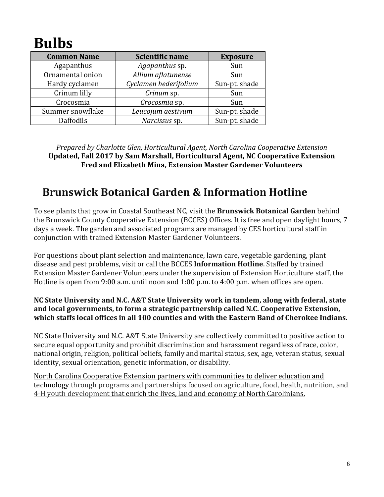# **Bulbs**

| <b>Common Name</b> | Scientific name       | <b>Exposure</b> |
|--------------------|-----------------------|-----------------|
| Agapanthus         | Agapanthus sp.        | Sun             |
| Ornamental onion   | Allium aflatunense    | Sun             |
| Hardy cyclamen     | Cyclamen hederifolium | Sun-pt. shade   |
| Crinum lilly       | Crinum sp.            | Sun             |
| Crocosmia          | Crocosmia sp.         | Sun             |
| Summer snowflake   | Leucojum aestivum     | Sun-pt. shade   |
| Daffodils          | Narcissus sp.         | Sun-pt. shade   |

*Prepared by Charlotte Glen, Horticultural Agent, North Carolina Cooperative Extension* **Updated, Fall 2017 by Sam Marshall, Horticultural Agent, NC Cooperative Extension Fred and Elizabeth Mina, Extension Master Gardener Volunteers**

## **Brunswick Botanical Garden & Information Hotline**

To see plants that grow in Coastal Southeast NC, visit the **Brunswick Botanical Garden** behind the Brunswick County Cooperative Extension (BCCES) Offices. It is free and open daylight hours, 7 days a week. The garden and associated programs are managed by CES horticultural staff in conjunction with trained Extension Master Gardener Volunteers.

For questions about plant selection and maintenance, lawn care, vegetable gardening, plant disease and pest problems, visit or call the BCCES **Information Hotline**. Staffed by trained Extension Master Gardener Volunteers under the supervision of Extension Horticulture staff, the Hotline is open from 9:00 a.m. until noon and 1:00 p.m. to 4:00 p.m. when offices are open.

#### **NC State University and N.C. A&T State University work in tandem, along with federal, state and local governments, to form a strategic partnership called N.C. Cooperative Extension, which staffs local offices in all 100 counties and with the Eastern Band of Cherokee Indians.**

NC State University and N.C. A&T State University are collectively committed to positive action to secure equal opportunity and prohibit discrimination and harassment regardless of race, color, national origin, religion, political beliefs, family and marital status, sex, age, veteran status, sexual identity, sexual orientation, genetic information, or disability.

North Carolina Cooperative Extension partners with communities to deliver education and technology through programs and partnerships focused on agriculture, food, health, nutrition, and 4-H youth development that enrich the lives, land and economy of North Carolinians.